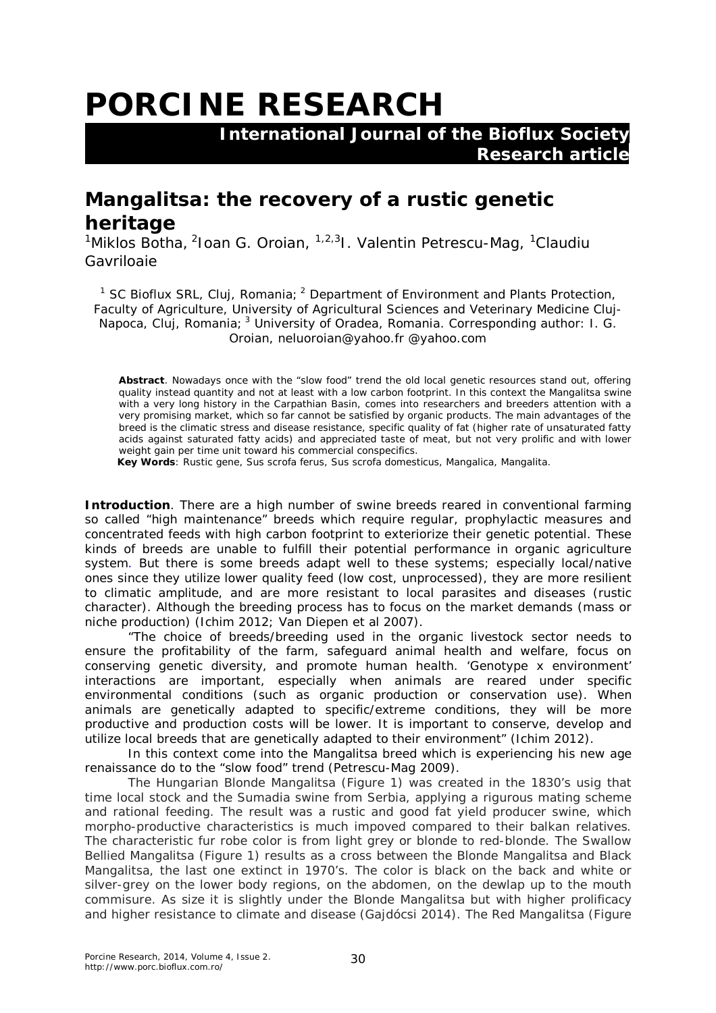# **PORCINE RESEARCH**

 **International Journal of the Bioflux Society Research article**

# **Mangalitsa: the recovery of a rustic genetic heritage**

<sup>1</sup>Miklos Botha, <sup>2</sup>Ioan G. Oroian, <sup>1,2,3</sup>I. Valentin Petrescu-Mag, <sup>1</sup>Claudiu Gavriloaie

<sup>1</sup> SC Bioflux SRL, Cluj, Romania; <sup>2</sup> Department of Environment and Plants Protection, Faculty of Agriculture, University of Agricultural Sciences and Veterinary Medicine Cluj-Napoca, Cluj, Romania; <sup>3</sup> University of Oradea, Romania. Corresponding author: I. G. Oroian, neluoroian@yahoo.fr @yahoo.com

**Abstract**. Nowadays once with the "slow food" trend the old local genetic resources stand out, offering quality instead quantity and not at least with a low carbon footprint. In this context the Mangalitsa swine with a very long history in the Carpathian Basin, comes into researchers and breeders attention with a very promising market, which so far cannot be satisfied by organic products. The main advantages of the breed is the climatic stress and disease resistance, specific quality of fat (higher rate of unsaturated fatty acids against saturated fatty acids) and appreciated taste of meat, but not very prolific and with lower weight gain per time unit toward his commercial conspecifics.

**Key Words**: Rustic gene, *Sus scrofa ferus*, *Sus scrofa domesticus*, Mangalica, Mangalita.

**Introduction**. There are a high number of swine breeds reared in conventional farming so called "high maintenance" breeds which require regular, prophylactic measures and concentrated feeds with high carbon footprint to exteriorize their genetic potential. These kinds of breeds are unable to fulfill their potential performance in organic agriculture system. But there is some breeds adapt well to these systems; especially local/native ones since they utilize lower quality feed (low cost, unprocessed), they are more resilient to climatic amplitude, and are more resistant to local parasites and diseases (rustic character). Although the breeding process has to focus on the market demands (mass or niche production) (Ichim 2012; Van Diepen et al 2007).

"The choice of breeds/breeding used in the organic livestock sector needs to ensure the profitability of the farm, safeguard animal health and welfare, focus on conserving genetic diversity, and promote human health. 'Genotype x environment' interactions are important, especially when animals are reared under specific environmental conditions (such as organic production or conservation use). When animals are genetically adapted to specific/extreme conditions, they will be more productive and production costs will be lower. It is important to conserve, develop and utilize local breeds that are genetically adapted to their environment" (Ichim 2012).

In this context come into the Mangalitsa breed which is experiencing his new age renaissance do to the "slow food" trend (Petrescu-Mag 2009).

The Hungarian Blonde Mangalitsa (Figure 1) was created in the 1830's usig that time local stock and the Sumadia swine from Serbia, applying a rigurous mating scheme and rational feeding. The result was a rustic and good fat yield producer swine, which morpho-productive characteristics is much impoved compared to their balkan relatives. The characteristic fur robe color is from light grey or blonde to red-blonde. The Swallow Bellied Mangalitsa (Figure 1) results as a cross between the Blonde Mangalitsa and Black Mangalitsa, the last one extinct in 1970's. The color is black on the back and white or silver-grey on the lower body regions, on the abdomen, on the dewlap up to the mouth commisure. As size it is slightly under the Blonde Mangalitsa but with higher prolificacy and higher resistance to climate and disease (Gajdócsi 2014). The Red Mangalitsa (Figure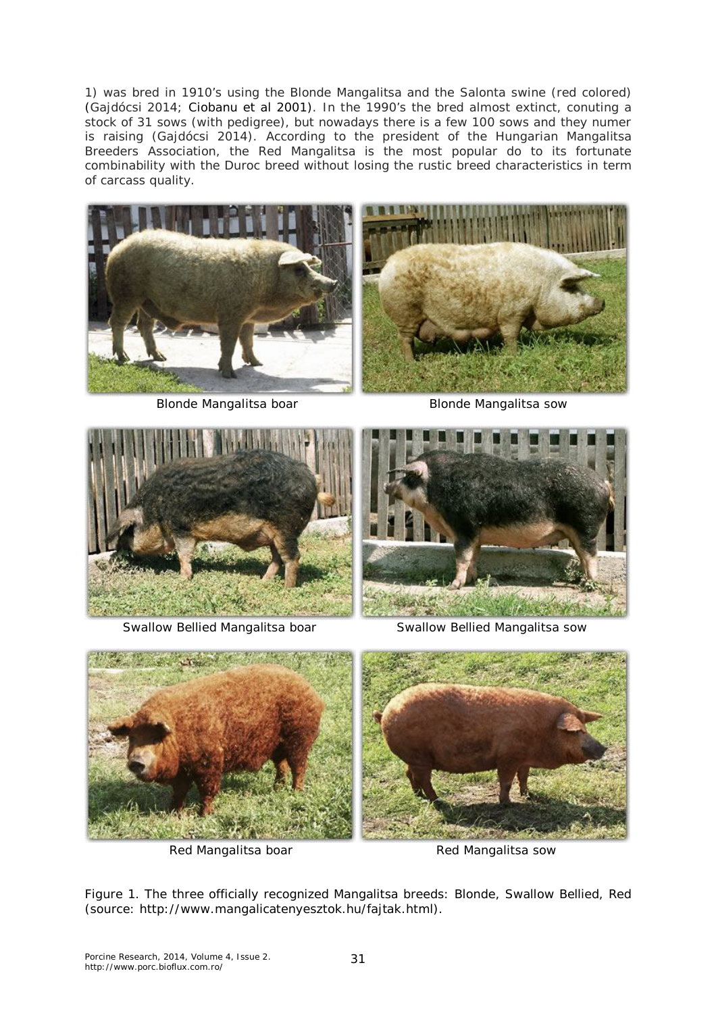1) was bred in 1910's using the Blonde Mangalitsa and the Salonta swine (red colored) (Gajdócsi 2014; Ciobanu et al 2001). In the 1990's the bred almost extinct, conuting a stock of 31 sows (with pedigree), but nowadays there is a few 100 sows and they numer is raising (Gajdócsi 2014). According to the president of the Hungarian Mangalitsa Breeders Association, the Red Mangalitsa is the most popular do to its fortunate combinability with the Duroc breed without losing the rustic breed characteristics in term of carcass quality.











Swallow Bellied Mangalitsa boar Swallow Bellied Mangalitsa sow



Red Mangalitsa boar **Red Mangalitsa sow** 

Figure 1. The three officially recognized Mangalitsa breeds: Blonde, Swallow Bellied, Red (source: http://www.mangalicatenyesztok.hu/fajtak.html).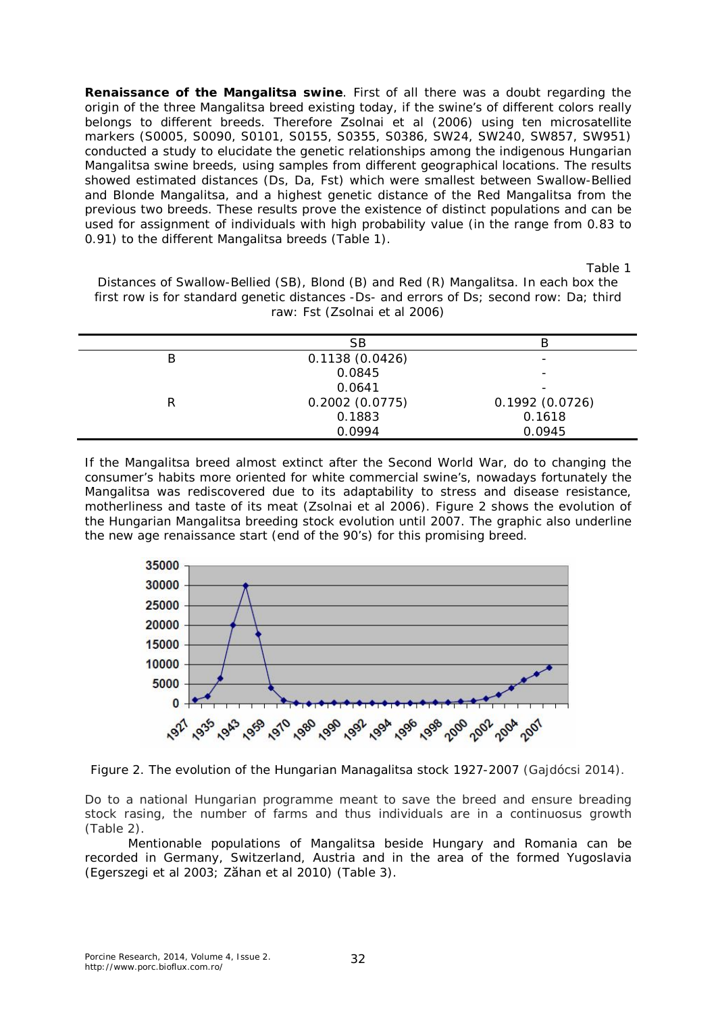**Renaissance of the Mangalitsa swine**. First of all there was a doubt regarding the origin of the three Mangalitsa breed existing today, if the swine's of different colors really belongs to different breeds. Therefore Zsolnai et al (2006) using ten microsatellite markers (S0005, S0090, S0101, S0155, S0355, S0386, SW24, SW240, SW857, SW951) conducted a study to elucidate the genetic relationships among the indigenous Hungarian Mangalitsa swine breeds, using samples from different geographical locations. The results showed estimated distances (Ds, Da, Fst) which were smallest between Swallow-Bellied and Blonde Mangalitsa, and a highest genetic distance of the Red Mangalitsa from the previous two breeds. These results prove the existence of distinct populations and can be used for assignment of individuals with high probability value (in the range from 0.83 to 0.91) to the different Mangalitsa breeds (Table 1).

Table 1

| Distances of Swallow-Bellied (SB), Blond (B) and Red (R) Mangalitsa. In each box the     |
|------------------------------------------------------------------------------------------|
| first row is for standard genetic distances -Ds- and errors of Ds; second row: Da; third |
| raw: Fst (Zsolnai et al 2006)                                                            |

|   | SB             | В                        |
|---|----------------|--------------------------|
| B | 0.1138(0.0426) |                          |
|   | 0.0845         | $\overline{\phantom{0}}$ |
|   | 0.0641         | -                        |
| R | 0.2002(0.0775) | 0.1992(0.0726)           |
|   | 0.1883         | 0.1618                   |
|   | 0.0994         | 0.0945                   |
|   |                |                          |

If the Mangalitsa breed almost extinct after the Second World War, do to changing the consumer's habits more oriented for white commercial swine's, nowadays fortunately the Mangalitsa was rediscovered due to its adaptability to stress and disease resistance, motherliness and taste of its meat (Zsolnai et al 2006). Figure 2 shows the evolution of the Hungarian Mangalitsa breeding stock evolution until 2007. The graphic also underline the new age renaissance start (end of the 90's) for this promising breed.



Figure 2. The evolution of the Hungarian Managalitsa stock 1927-2007 (Gajdócsi 2014).

Do to a national Hungarian programme meant to save the breed and ensure breading stock rasing, the number of farms and thus individuals are in a continuosus growth (Table 2).

Mentionable populations of Mangalitsa beside Hungary and Romania can be recorded in Germany, Switzerland, Austria and in the area of the formed Yugoslavia (Egerszegi et al 2003; Zăhan et al 2010) (Table 3).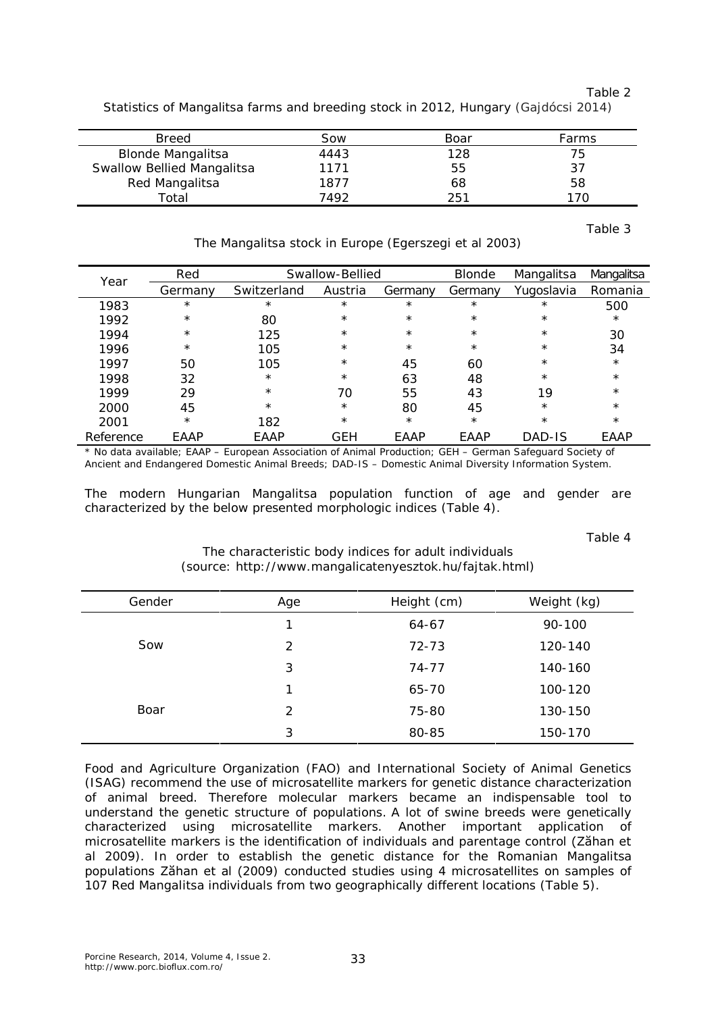Table 2

Statistics of Mangalitsa farms and breeding stock in 2012, Hungary (Gajdócsi 2014)

| Breed                      | Sow  | Boar | Farms |
|----------------------------|------|------|-------|
| <b>Blonde Mangalitsa</b>   | 4443 | 128  | 75    |
| Swallow Bellied Mangalitsa | 1171 | 55   | 37    |
| Red Mangalitsa             | 1877 | 68   | 58    |
| Total                      | 7492 | 251  |       |

Table 3

## The Mangalitsa stock in Europe (Egerszegi et al 2003)

| Year      | Red      | Swallow-Bellied |            |         | <i>Blonde</i> | Mangalitsa | Mangalitsa |
|-----------|----------|-----------------|------------|---------|---------------|------------|------------|
|           | Germany  | Switzerland     | Austria    | Germany | Germany       | Yuqoslavia | Romania    |
| 1983      | $\star$  | $\star$         | $\star$    | $\star$ | $\star$       | $\star$    | 500        |
| 1992      | $^\star$ | 80              | $\star$    | $\star$ | $\star$       | $\star$    | $\star$    |
| 1994      | $^\star$ | 125             | $\star$    | $\star$ | $\star$       | $\star$    | 30         |
| 1996      | $^\star$ | 105             | $\star$    | $\star$ | $\star$       | $\star$    | 34         |
| 1997      | 50       | 105             | $\star$    | 45      | 60            | $\star$    | $\star$    |
| 1998      | 32       | $\star$         | $\star$    | 63      | 48            | $\star$    | $\star$    |
| 1999      | 29       | $\star$         | 70         | 55      | 43            | 19         | $\star$    |
| 2000      | 45       | $\star$         | $\star$    | 80      | 45            | $\star$    | $\star$    |
| 2001      | $^\star$ | 182             | $\star$    | $\star$ | $\star$       | $\star$    | $\star$    |
| Reference | EAAP     | EAAP            | <b>GEH</b> | EAAP    | EAAP          | DAD-IS     | EAAP       |

\* No data available; EAAP – European Association of Animal Production; GEH – German Safeguard Society of Ancient and Endangered Domestic Animal Breeds; DAD-IS – Domestic Animal Diversity Information System.

The modern Hungarian Mangalitsa population function of age and gender are characterized by the below presented morphologic indices (Table 4).

Table 4

|        | . .<br>ັ | ╯<br>-      | $\overline{\phantom{a}}$ |
|--------|----------|-------------|--------------------------|
| Gender | Age      | Height (cm) | Weight (kg)              |
| Sow    | 1        | 64-67       | 90-100                   |
|        | 2        | $72 - 73$   | 120-140                  |
|        | 3        | 74-77       | 140-160                  |
| Boar   | 1        | 65-70       | 100-120                  |
|        | 2        | 75-80       | 130-150                  |
|        | 3        | 80-85       | 150-170                  |

### The characteristic body indices for adult individuals (source: http://www.mangalicatenyesztok.hu/fajtak.html)

Food and Agriculture Organization (FAO) and International Society of Animal Genetics (ISAG) recommend the use of microsatellite markers for genetic distance characterization of animal breed. Therefore molecular markers became an indispensable tool to understand the genetic structure of populations. A lot of swine breeds were genetically characterized using microsatellite markers. Another important application of microsatellite markers is the identification of individuals and parentage control (Zăhan et al 2009). In order to establish the genetic distance for the Romanian Mangalitsa populations Zăhan et al (2009) conducted studies using 4 microsatellites on samples of 107 Red Mangalitsa individuals from two geographically different locations (Table 5).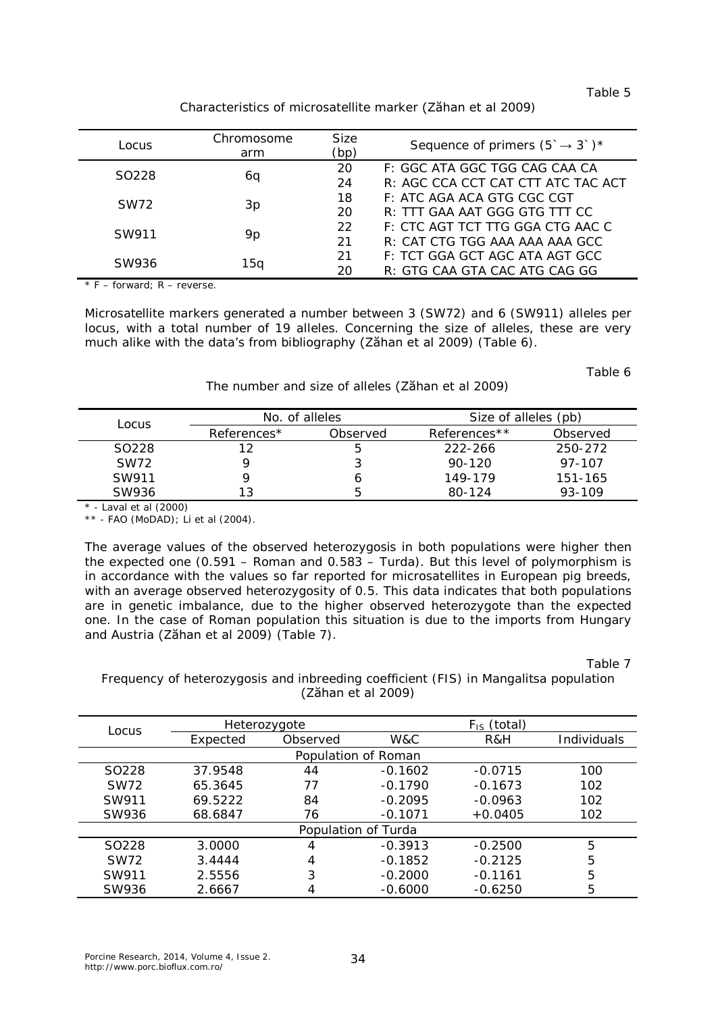Table 5

| Locus             | Chromosome<br>arm | <b>Size</b><br>(bp) | Sequence of primers $(5 \rightarrow 3')^*$ |
|-------------------|-------------------|---------------------|--------------------------------------------|
| SO <sub>228</sub> |                   | 20                  | F: GGC ATA GGC TGG CAG CAA CA              |
|                   | 6q                | 24                  | R: AGC CCA CCT CAT CTT ATC TAC ACT         |
| SW <sub>72</sub>  |                   | 18                  | F: ATC AGA ACA GTG CGC CGT                 |
|                   | 3p                | 20                  | R: TTT GAA AAT GGG GTG TTT CC              |
| SW911             |                   | 22                  | F: CTC AGT TCT TTG GGA CTG AAC C           |
|                   | 9p                | 21                  | R: CAT CTG TGG AAA AAA AAA GCC             |
| SW936             |                   | 21                  | F: TCT GGA GCT AGC ATA AGT GCC             |
|                   | 15a               | 20                  | R: GTG CAA GTA CAC ATG CAG GG              |

Characteristics of microsatellite marker (Zăhan et al 2009)

 $*$  F – forward:  $R$  – reverse.

Microsatellite markers generated a number between 3 (SW72) and 6 (SW911) alleles per locus, with a total number of 19 alleles. Concerning the size of alleles, these are very much alike with the data's from bibliography (Zăhan et al 2009) (Table 6).

Table 6

The number and size of alleles (Zăhan et al 2009)

| Locus             | No. of alleles |          | Size of alleles (pb) |          |
|-------------------|----------------|----------|----------------------|----------|
|                   | References*    | Observed | References**         | Observed |
| SO <sub>228</sub> | 12             |          | 222-266              | 250-272  |
| SW <sub>72</sub>  |                |          | $90 - 120$           | 97-107   |
| SW911             |                |          | 149-179              | 151-165  |
| SW936             | 13             |          | 80-124               | 93-109   |

\* - Laval et al (2000)

\*\* - FAO (MoDAD); Li et al (2004).

The average values of the observed heterozygosis in both populations were higher then the expected one (0.591 – Roman and 0.583 – Turda). But this level of polymorphism is in accordance with the values so far reported for microsatellites in European pig breeds, with an average observed heterozygosity of 0.5. This data indicates that both populations are in genetic imbalance, due to the higher observed heterozygote than the expected one. In the case of Roman population this situation is due to the imports from Hungary and Austria (Zăhan et al 2009) (Table 7).

Table 7

Frequency of heterozygosis and inbreeding coefficient (FIS) in Mangalitsa population (Zăhan et al 2009)

| Locus               | Heterozygote        |          | $F_{IS}$ (total) |           |             |  |  |
|---------------------|---------------------|----------|------------------|-----------|-------------|--|--|
|                     | Expected            | Observed | W&C              | R&H       | Individuals |  |  |
|                     | Population of Roman |          |                  |           |             |  |  |
| SO <sub>228</sub>   | 37.9548             | 44       | $-0.1602$        | $-0.0715$ | 100         |  |  |
| <b>SW72</b>         | 65.3645             | 77       | $-0.1790$        | $-0.1673$ | 102         |  |  |
| SW911               | 69.5222             | 84       | $-0.2095$        | $-0.0963$ | 102         |  |  |
| SW936               | 68.6847             | 76       | $-0.1071$        | $+0.0405$ | 102         |  |  |
| Population of Turda |                     |          |                  |           |             |  |  |
| SO <sub>228</sub>   | 3.0000              | 4        | $-0.3913$        | $-0.2500$ | 5           |  |  |
| SW <sub>72</sub>    | 3.4444              | 4        | $-0.1852$        | $-0.2125$ | 5           |  |  |
| SW911               | 2.5556              | 3        | $-0.2000$        | $-0.1161$ | 5           |  |  |
| SW936               | 2.6667              |          | $-0.6000$        | $-0.6250$ | 5           |  |  |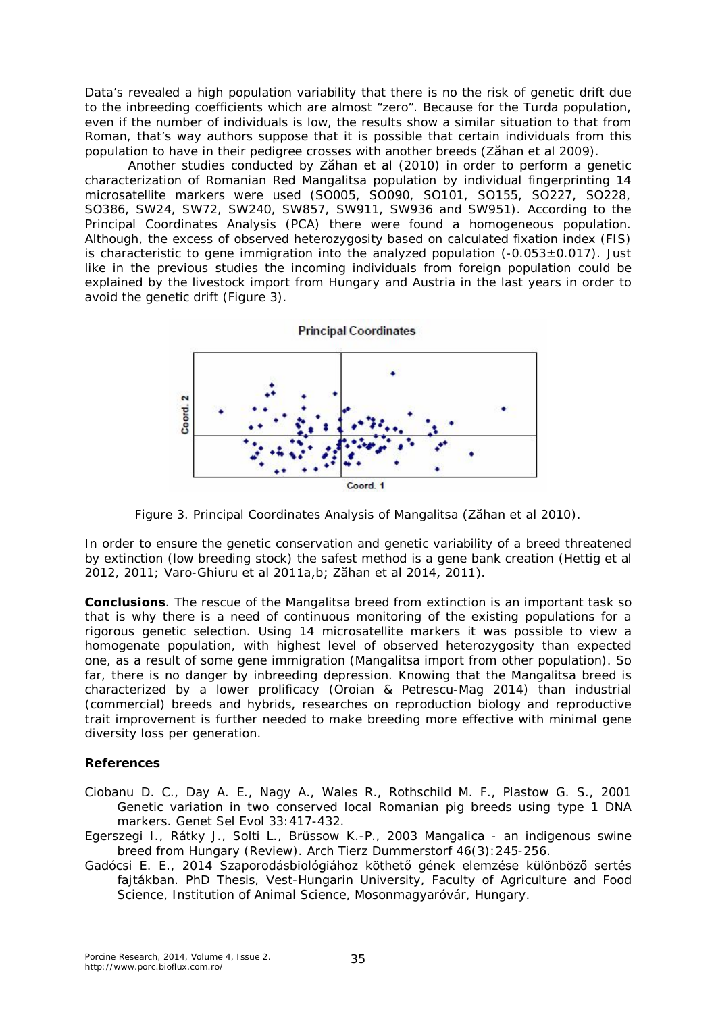Data's revealed a high population variability that there is no the risk of genetic drift due to the inbreeding coefficients which are almost "zero". Because for the Turda population, even if the number of individuals is low, the results show a similar situation to that from Roman, that's way authors suppose that it is possible that certain individuals from this population to have in their pedigree crosses with another breeds (Zăhan et al 2009).

Another studies conducted by Zăhan et al (2010) in order to perform a genetic characterization of Romanian Red Mangalitsa population by individual fingerprinting 14 microsatellite markers were used (SO005, SO090, SO101, SO155, SO227, SO228, SO386, SW24, SW72, SW240, SW857, SW911, SW936 and SW951). According to the Principal Coordinates Analysis (PCA) there were found a homogeneous population. Although, the excess of observed heterozygosity based on calculated fixation index (FIS) is characteristic to gene immigration into the analyzed population  $(-0.053 \pm 0.017)$ . Just like in the previous studies the incoming individuals from foreign population could be explained by the livestock import from Hungary and Austria in the last years in order to avoid the genetic drift (Figure 3).



Figure 3. Principal Coordinates Analysis of Mangalitsa (Zăhan et al 2010).

In order to ensure the genetic conservation and genetic variability of a breed threatened by extinction (low breeding stock) the safest method is a gene bank creation (Hettig et al 2012, 2011; Varo-Ghiuru et al 2011a,b; Zăhan et al 2014, 2011).

**Conclusions**. The rescue of the Mangalitsa breed from extinction is an important task so that is why there is a need of continuous monitoring of the existing populations for a rigorous genetic selection. Using 14 microsatellite markers it was possible to view a homogenate population, with highest level of observed heterozygosity than expected one, as a result of some gene immigration (Mangalitsa import from other population). So far, there is no danger by inbreeding depression. Knowing that the Mangalitsa breed is characterized by a lower prolificacy (Oroian & Petrescu-Mag 2014) than industrial (commercial) breeds and hybrids, researches on reproduction biology and reproductive trait improvement is further needed to make breeding more effective with minimal gene diversity loss per generation.

### **References**

- Ciobanu D. C., Day A. E., Nagy A., Wales R., Rothschild M. F., Plastow G. S., 2001 Genetic variation in two conserved local Romanian pig breeds using type 1 DNA markers*.* Genet Sel Evol 33:417-432.
- Egerszegi I., Rátky J., Solti L., Brüssow K.-P., 2003 Mangalica an indigenous swine breed from Hungary (Review). Arch Tierz Dummerstorf 46(3):245-256.
- Gadócsi E. E., 2014 Szaporodásbiológiához köthető gének elemzése különböző sertés fajtákban. PhD Thesis, Vest-Hungarin University, Faculty of Agriculture and Food Science, Institution of Animal Science, Mosonmagyaróvár, Hungary.